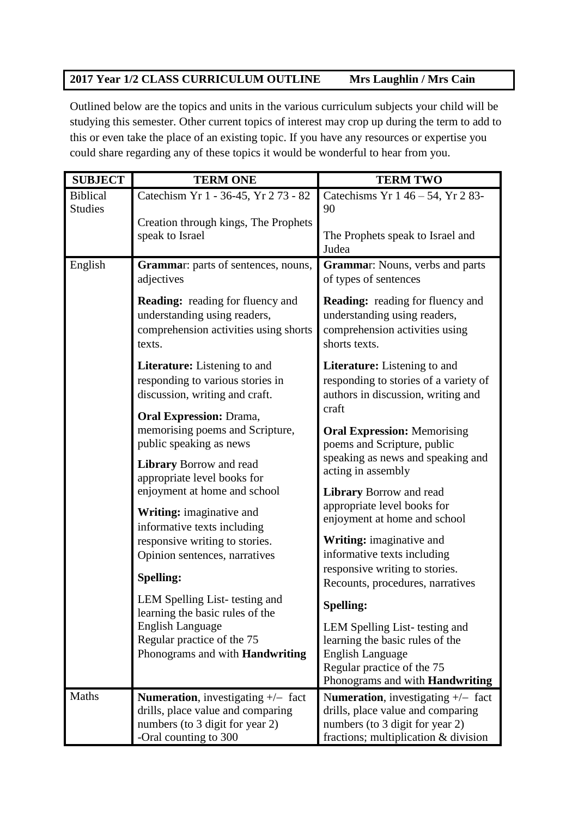## **2017 Year 1/2 CLASS CURRICULUM OUTLINE Mrs Laughlin / Mrs Cain**

Outlined below are the topics and units in the various curriculum subjects your child will be studying this semester. Other current topics of interest may crop up during the term to add to this or even take the place of an existing topic. If you have any resources or expertise you could share regarding any of these topics it would be wonderful to hear from you.

| <b>SUBJECT</b>                    | <b>TERM ONE</b>                                                                                                                | <b>TERM TWO</b>                                                                                                              |
|-----------------------------------|--------------------------------------------------------------------------------------------------------------------------------|------------------------------------------------------------------------------------------------------------------------------|
| <b>Biblical</b><br><b>Studies</b> | Catechism Yr 1 - 36-45, Yr 273 - 82<br>Creation through kings, The Prophets                                                    | Catechisms Yr 1 46 - 54, Yr 2 83-<br>90                                                                                      |
|                                   | speak to Israel                                                                                                                | The Prophets speak to Israel and<br>Judea                                                                                    |
| English                           | <b>Grammar:</b> parts of sentences, nouns,<br>adjectives                                                                       | <b>Grammar:</b> Nouns, verbs and parts<br>of types of sentences                                                              |
|                                   | <b>Reading:</b> reading for fluency and<br>understanding using readers,<br>comprehension activities using shorts<br>texts.     | <b>Reading:</b> reading for fluency and<br>understanding using readers,<br>comprehension activities using<br>shorts texts.   |
|                                   | <b>Literature:</b> Listening to and<br>responding to various stories in<br>discussion, writing and craft.                      | <b>Literature:</b> Listening to and<br>responding to stories of a variety of<br>authors in discussion, writing and<br>craft  |
|                                   | <b>Oral Expression: Drama,</b><br>memorising poems and Scripture,<br>public speaking as news<br><b>Library Borrow and read</b> | <b>Oral Expression: Memorising</b><br>poems and Scripture, public<br>speaking as news and speaking and<br>acting in assembly |
|                                   | appropriate level books for<br>enjoyment at home and school<br><b>Writing:</b> imaginative and<br>informative texts including  | <b>Library Borrow and read</b><br>appropriate level books for<br>enjoyment at home and school                                |
|                                   | responsive writing to stories.<br>Opinion sentences, narratives                                                                | Writing: imaginative and<br>informative texts including<br>responsive writing to stories.                                    |
|                                   | <b>Spelling:</b>                                                                                                               | Recounts, procedures, narratives                                                                                             |
|                                   | LEM Spelling List-testing and<br>learning the basic rules of the                                                               | <b>Spelling:</b>                                                                                                             |
|                                   | <b>English Language</b><br>Regular practice of the 75                                                                          | LEM Spelling List-testing and<br>learning the basic rules of the                                                             |
|                                   | Phonograms and with <b>Handwriting</b>                                                                                         | <b>English Language</b>                                                                                                      |
|                                   |                                                                                                                                | Regular practice of the 75<br>Phonograms and with Handwriting                                                                |
| Maths                             | <b>Numeration</b> , investigating $+/-$ fact                                                                                   | Numeration, investigating $+/-$ fact                                                                                         |
|                                   | drills, place value and comparing<br>numbers (to 3 digit for year 2)                                                           | drills, place value and comparing<br>numbers (to 3 digit for year 2)                                                         |
|                                   | -Oral counting to 300                                                                                                          | fractions; multiplication & division                                                                                         |